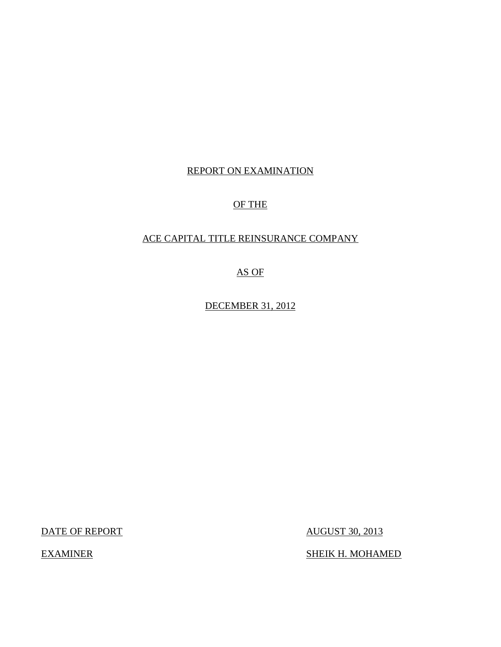# REPORT ON EXAMINATION

# OF THE

# ACE CAPITAL TITLE REINSURANCE COMPANY

AS OF

DECEMBER 31, 2012

DATE OF REPORT AUGUST 30, 2013

SHEIK H. MOHAMED

**EXAMINER**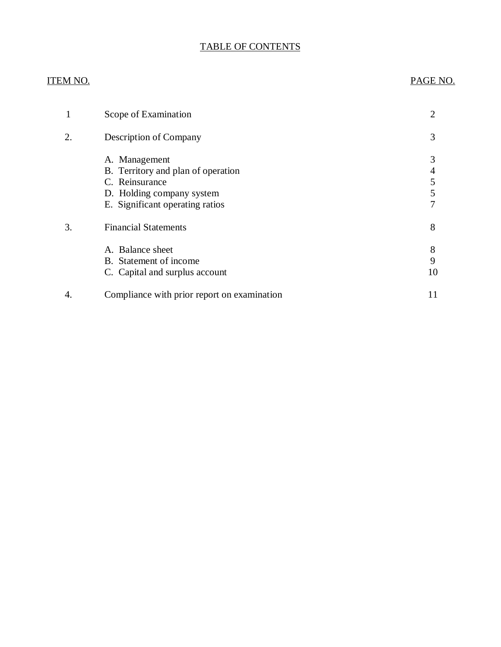# TABLE OF CONTENTS

# **ITEM NO.**

# PAGE NO.

| 1  | Scope of Examination                                                                                                                  | $\overline{2}$        |
|----|---------------------------------------------------------------------------------------------------------------------------------------|-----------------------|
| 2. | Description of Company                                                                                                                | 3                     |
|    | A. Management<br>B. Territory and plan of operation<br>C. Reinsurance<br>D. Holding company system<br>E. Significant operating ratios | 3<br>4<br>5<br>5<br>7 |
| 3. | <b>Financial Statements</b>                                                                                                           | 8                     |
|    | A. Balance sheet<br>B. Statement of income<br>C. Capital and surplus account                                                          | 8<br>9<br>10          |
| 4. | Compliance with prior report on examination                                                                                           |                       |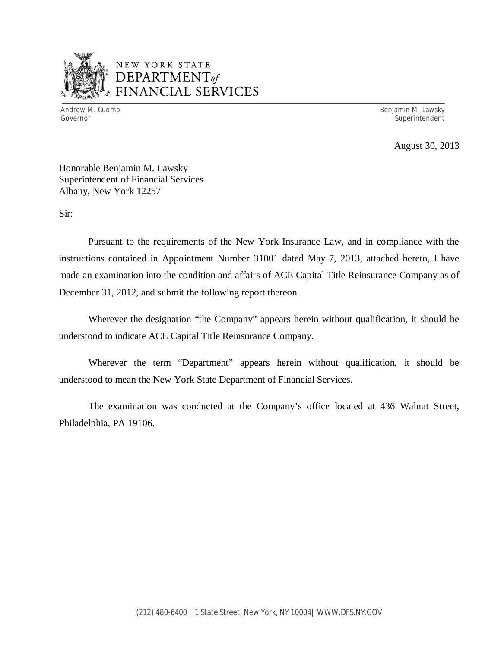

# NEW YORK STATE *DEPARTMENTof*  FINANCIAL SERVICES

Andrew M. Cuomo

Benjamin M. Lawsky Governor Superintendent Superintendent Superintendent Superintendent Superintendent Superintendent Superintendent

August 30, 2013

 Honorable Benjamin M. Lawsky Superintendent of Financial Services Albany, New York 12257

Sir:

 Pursuant to the requirements of the New York Insurance Law, and in compliance with the instructions contained in Appointment Number 31001 dated May 7, 2013, attached hereto, I have made an examination into the condition and affairs of ACE Capital Title Reinsurance Company as of December 31, 2012, and submit the following report thereon.

 Wherever the designation "the Company" appears herein without qualification, it should be understood to indicate ACE Capital Title Reinsurance Company.

 Wherever the term "Department" appears herein without qualification, it should be understood to mean the New York State Department of Financial Services.

 Philadelphia, PA 19106. The examination was conducted at the Company's office located at 436 Walnut Street,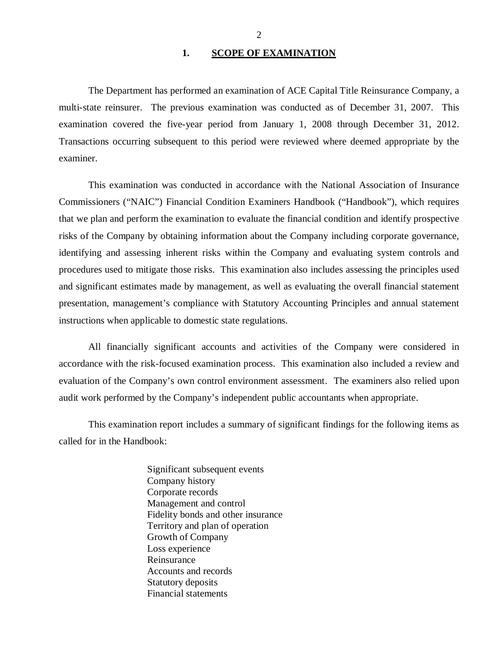## **1. SCOPE OF EXAMINATION**

<span id="page-3-0"></span> multi-state reinsurer. The previous examination was conducted as of December 31, 2007. This examination covered the five-year period from January 1, 2008 through December 31, 2012. Transactions occurring subsequent to this period were reviewed where deemed appropriate by the The Department has performed an examination of ACE Capital Title Reinsurance Company*,* a examiner.

 Commissioners ("NAIC") Financial Condition Examiners Handbook ("Handbook"), which requires that we plan and perform the examination to evaluate the financial condition and identify prospective risks of the Company by obtaining information about the Company including corporate governance, identifying and assessing inherent risks within the Company and evaluating system controls and procedures used to mitigate those risks. This examination also includes assessing the principles used and significant estimates made by management, as well as evaluating the overall financial statement presentation, management's compliance with Statutory Accounting Principles and annual statement instructions when applicable to domestic state regulations. This examination was conducted in accordance with the National Association of Insurance

 accordance with the risk-focused examination process. This examination also included a review and evaluation of the Company's own control environment assessment. The examiners also relied upon audit work performed by the Company's independent public accountants when appropriate. All financially significant accounts and activities of the Company were considered in

 called for in the Handbook: This examination report includes a summary of significant findings for the following items as

> Significant subsequent events Company history Corporate records Management and control Fidelity bonds and other insurance Territory and plan of operation Growth of Company Loss experience Reinsurance Reinsurance Accounts and records Statutory deposits Financial statements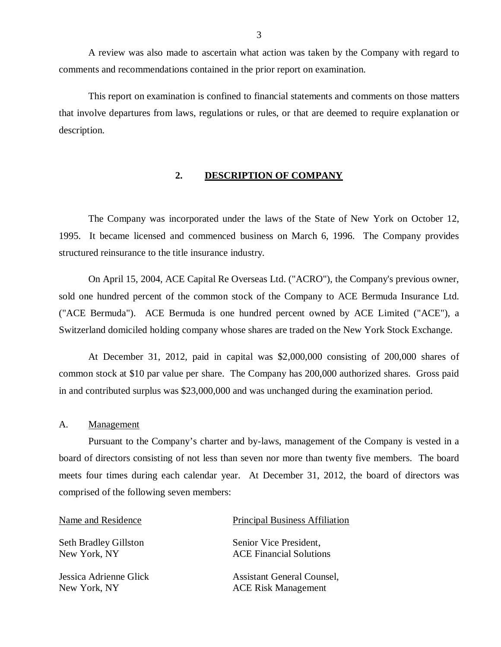<span id="page-4-0"></span> comments and recommendations contained in the prior report on examination. A review was also made to ascertain what action was taken by the Company with regard to

 that involve departures from laws, regulations or rules, or that are deemed to require explanation or This report on examination is confined to financial statements and comments on those matters description.

## **2. DESCRIPTION OF COMPANY**

 The Company was incorporated under the laws of the State of New York on October 12, 1995. It became licensed and commenced business on March 6, 1996. The Company provides structured reinsurance to the title insurance industry.

 On April 15, 2004, ACE Capital Re Overseas Ltd. ("ACRO"), the Company's previous owner, sold one hundred percent of the common stock of the Company to ACE Bermuda Insurance Ltd. ("ACE Bermuda"). ACE Bermuda is one hundred percent owned by ACE Limited ("ACE"), a Switzerland domiciled holding company whose shares are traded on the New York Stock Exchange.

 At December 31, 2012, paid in capital was \$2,000,000 consisting of 200,000 shares of common stock at \$10 par value per share. The Company has 200,000 authorized shares. Gross paid in and contributed surplus was \$23,000,000 and was unchanged during the examination period.

## A. Management

 Pursuant to the Company's charter and by-laws, management of the Company is vested in a board of directors consisting of not less than seven nor more than twenty five members. The board meets four times during each calendar year. At December 31, 2012, the board of directors was comprised of the following seven members:

New York, NY

Jessica Adrienne Glick New York, NY

## Name and Residence **Principal Business Affiliation**

Seth Bradley Gillston Senior Vice President, Senior Vice President. New York, NY ACE Financial Solutions

Jessica Adrienne Glick Assistant General Counsel, **ACE Risk Management**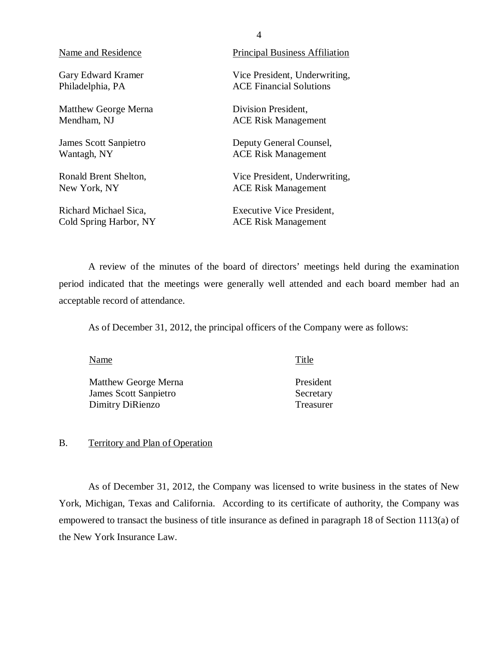<span id="page-5-0"></span>

| Name and Residence     | <b>Principal Business Affiliation</b> |
|------------------------|---------------------------------------|
| Gary Edward Kramer     | Vice President, Underwriting,         |
| Philadelphia, PA       | <b>ACE Financial Solutions</b>        |
| Matthew George Merna   | Division President,                   |
| Mendham, NJ            | <b>ACE Risk Management</b>            |
| James Scott Sanpietro  | Deputy General Counsel,               |
| Wantagh, NY            | <b>ACE Risk Management</b>            |
| Ronald Brent Shelton,  | Vice President, Underwriting,         |
| New York, NY           | <b>ACE Risk Management</b>            |
| Richard Michael Sica.  | Executive Vice President,             |
| Cold Spring Harbor, NY | <b>ACE Risk Management</b>            |

 period indicated that the meetings were generally well attended and each board member had an acceptable record of attendance. ACE RISK Management<br>A review of the minutes of the board of directors' meetings held during the examination

As of December 31, 2012, the principal officers of the Company were as follows:

Name Title

Matthew George Merna **President James Scott Sanpietro Secretary** Dimitry DiRienzo Treasurer

## B. Territory and Plan of Operation

 York, Michigan, Texas and California. According to its certificate of authority, the Company was empowered to transact the business of title insurance as defined in paragraph 18 of Section 1113(a) of the New York Insurance Law. As of December 31, 2012, the Company was licensed to write business in the states of New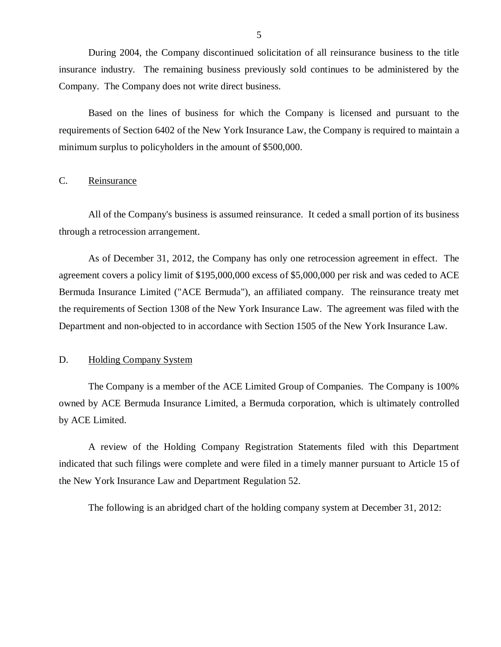<span id="page-6-0"></span> During 2004, the Company discontinued solicitation of all reinsurance business to the title insurance industry. The remaining business previously sold continues to be administered by the Company. The Company does not write direct business.

 Based on the lines of business for which the Company is licensed and pursuant to the requirements of Section 6402 of the New York Insurance Law, the Company is required to maintain a minimum surplus to policyholders in the amount of \$500,000.

# C. Reinsurance

 All of the Company's business is assumed reinsurance. It ceded a small portion of its business through a retrocession arrangement.

 As of December 31, 2012, the Company has only one retrocession agreement in effect. The agreement covers a policy limit of \$195,000,000 excess of \$5,000,000 per risk and was ceded to ACE Bermuda Insurance Limited ("ACE Bermuda"), an affiliated company. The reinsurance treaty met the requirements of Section 1308 of the New York Insurance Law. The agreement was filed with the Department and non-objected to in accordance with Section 1505 of the New York Insurance Law.

## D. Holding Company System

 owned by ACE Bermuda Insurance Limited, a Bermuda corporation, which is ultimately controlled by ACE Limited. The Company is a member of the ACE Limited Group of Companies. The Company is 100%

 indicated that such filings were complete and were filed in a timely manner pursuant to Article 15 of the New York Insurance Law and Department Regulation 52. A review of the Holding Company Registration Statements filed with this Department

The following is an abridged chart of the holding company system at December 31, 2012: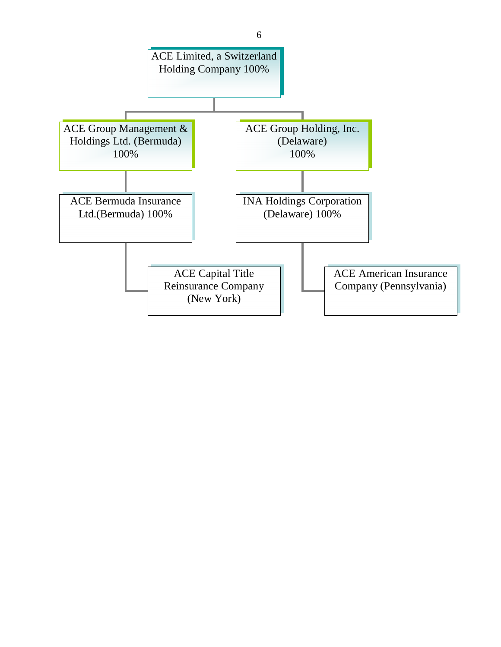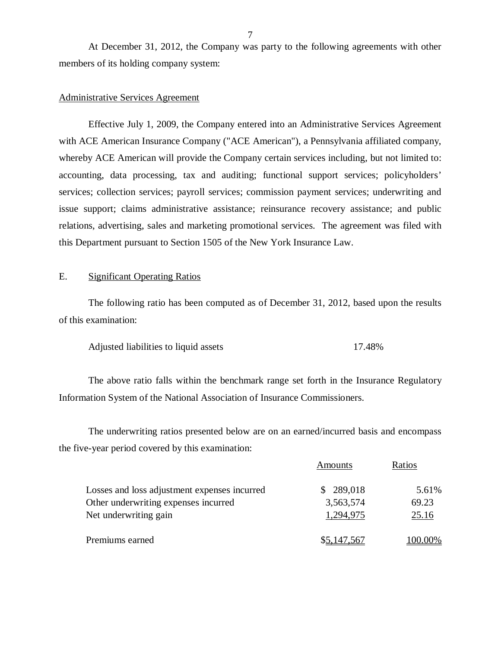members of its holding company system: At December 31, 2012, the Company was party to the following agreements with other

## Administrative Services Agreement

 Effective July 1, 2009, the Company entered into an Administrative Services Agreement with ACE American Insurance Company ("ACE American"), a Pennsylvania affiliated company, whereby ACE American will provide the Company certain services including, but not limited to: accounting, data processing, tax and auditing; functional support services; policyholders' services; collection services; payroll services; commission payment services; underwriting and issue support; claims administrative assistance; reinsurance recovery assistance; and public relations, advertising, sales and marketing promotional services. The agreement was filed with this Department pursuant to Section 1505 of the New York Insurance Law.

## E. Significant Operating Ratios

 of this examination: The following ratio has been computed as of December 31, 2012, based upon the results

Adjusted liabilities to liquid assets 17.48%

 Information System of the National Association of Insurance Commissioners. The above ratio falls within the benchmark range set forth in the Insurance Regulatory

 the five-year period covered by this examination: The underwriting ratios presented below are on an earned/incurred basis and encompass

|                                              | Amounts     | Ratios |
|----------------------------------------------|-------------|--------|
| Losses and loss adjustment expenses incurred | \$289,018   | 5.61%  |
| Other underwriting expenses incurred         | 3,563,574   | 69.23  |
| Net underwriting gain                        | 1,294,975   | 25.16  |
| Premiums earned                              | \$5,147,567 | 00.00% |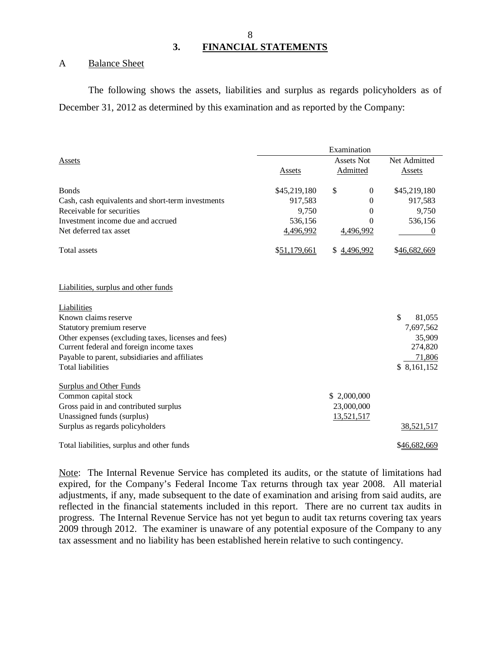# **3. FINANCIAL STATEMENTS**

## A Balance Sheet

 December 31, 2012 as determined by this examination and as reported by the Company: The following shows the assets, liabilities and surplus as regards policyholders as of

|                                                     |              | Examination        |              |
|-----------------------------------------------------|--------------|--------------------|--------------|
| Assets                                              |              | <b>Assets Not</b>  | Net Admitted |
|                                                     | Assets       | <b>Admitted</b>    | Assets       |
| <b>Bonds</b>                                        | \$45,219,180 | \$<br>$\mathbf{0}$ | \$45,219,180 |
| Cash, cash equivalents and short-term investments   | 917,583      | $\theta$           | 917,583      |
| Receivable for securities                           | 9,750        | 0                  | 9,750        |
| Investment income due and accrued                   | 536,156      | $\theta$           | 536,156      |
| Net deferred tax asset                              | 4,496,992    | 4,496,992          | $\theta$     |
| <b>Total assets</b>                                 | \$51,179,661 | \$4,496,992        | \$46,682,669 |
| Liabilities, surplus and other funds                |              |                    |              |
| Liabilities                                         |              |                    |              |
| Known claims reserve                                |              |                    | \$<br>81,055 |
| Statutory premium reserve                           |              |                    | 7,697,562    |
| Other expenses (excluding taxes, licenses and fees) |              |                    | 35,909       |
| Current federal and foreign income taxes            |              |                    | 274,820      |
| Payable to parent, subsidiaries and affiliates      |              |                    | 71,806       |
| <b>Total liabilities</b>                            |              |                    | \$8,161,152  |
| Surplus and Other Funds                             |              |                    |              |
| Common capital stock                                |              | \$2,000,000        |              |
| Gross paid in and contributed surplus               |              | 23,000,000         |              |
| Unassigned funds (surplus)                          |              | 13,521,517         |              |
| Surplus as regards policyholders                    |              |                    | 38,521,517   |
| Total liabilities, surplus and other funds          |              |                    | \$46,682,669 |

Note: The Internal Revenue Service has completed its audits, or the statute of limitations had expired, for the Company's Federal Income Tax returns through tax year 2008. All material adjustments, if any, made subsequent to the date of examination and arising from said audits, are reflected in the financial statements included in this report. There are no current tax audits in progress. The Internal Revenue Service has not yet begun to audit tax returns covering tax years 2009 through 2012. The examiner is unaware of any potential exposure of the Company to any tax assessment and no liability has been established herein relative to such contingency.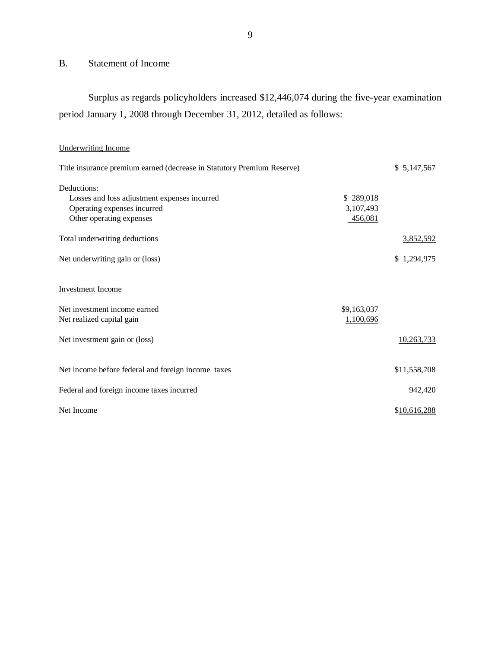## B. Statement of Income

 Surplus as regards policyholders increased \$12,446,074 during the five-year examination period January 1, 2008 through December 31, 2012, detailed as follows:

# Underwriting Income

| Title insurance premium earned (decrease in Statutory Premium Reserve) |             | \$5,147,567  |
|------------------------------------------------------------------------|-------------|--------------|
| Deductions:                                                            |             |              |
| Losses and loss adjustment expenses incurred                           | \$289,018   |              |
| Operating expenses incurred                                            | 3,107,493   |              |
| Other operating expenses                                               | 456,081     |              |
| Total underwriting deductions                                          |             | 3,852,592    |
| Net underwriting gain or (loss)                                        |             | \$1,294,975  |
| <b>Investment Income</b>                                               |             |              |
| Net investment income earned                                           | \$9,163,037 |              |
| Net realized capital gain                                              | 1,100,696   |              |
| Net investment gain or (loss)                                          |             | 10,263,733   |
| Net income before federal and foreign income taxes                     |             | \$11,558,708 |
| Federal and foreign income taxes incurred                              |             | 942,420      |
| Net Income                                                             |             | \$10,616,288 |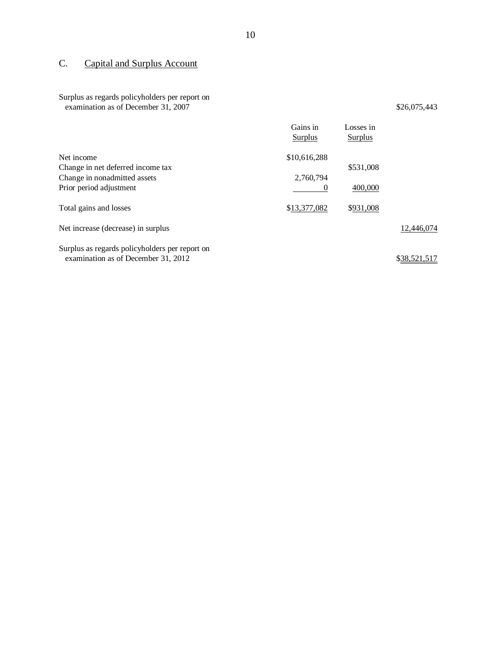### $\mathcal{C}$ . Capital and Surplus Account

### Surplus as regards policyholders per report on examination as of December 31, 2007  $$26,075,443$

|                                                | Gains in<br><b>Surplus</b> | Losses in<br><b>Surplus</b> |            |
|------------------------------------------------|----------------------------|-----------------------------|------------|
| Net income                                     | \$10,616,288               |                             |            |
| Change in net deferred income tax              |                            | \$531,008                   |            |
| Change in nonadmitted assets                   | 2,760,794                  |                             |            |
| Prior period adjustment                        | $\theta$                   | 400,000                     |            |
| Total gains and losses                         | \$13,377,082               | \$931,008                   |            |
| Net increase (decrease) in surplus             |                            |                             | 12,446,074 |
| Surplus as regards policyholders per report on |                            |                             |            |

examination as of December 31, 2012  $\frac{$38,521,517}{4}$ 

10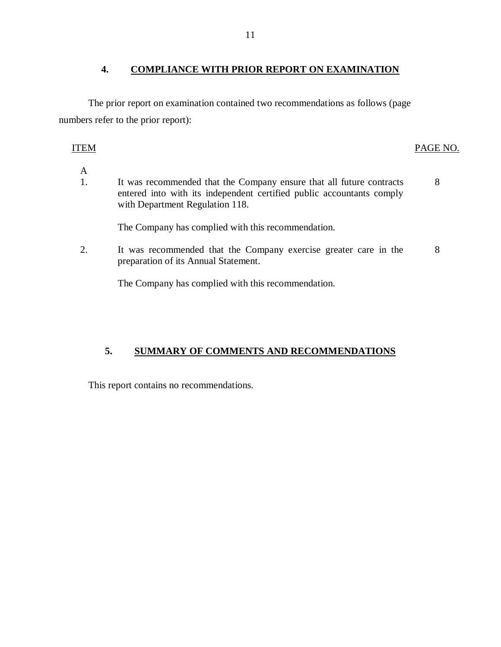<span id="page-12-0"></span> The prior report on examination contained two recommendations as follows (page numbers refer to the prior report):

# ITEM PAGE NO.

- $\mathbf{A}$  $1<sup>1</sup>$  entered into with its independent certified public accountants comply with Department Regulation 118. The Company has complied with this recommendation. It was recommended that the Company ensure that all future contracts 8
- $\overline{2}$ . preparation of its Annual Statement. It was recommended that the Company exercise greater care in the 8

The Company has complied with this recommendation.

# **5. SUMMARY OF COMMENTS AND RECOMMENDATIONS**

This report contains no recommendations.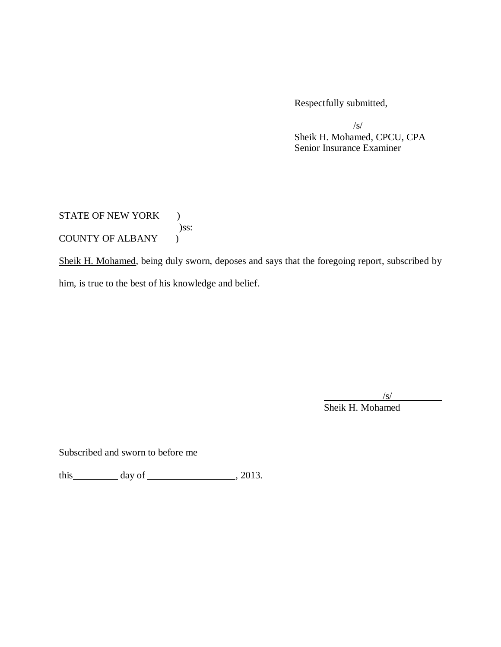Respectfully submitted,

 Senior Insurance Examiner /s/ Sheik H. Mohamed, CPCU, CPA

# STATE OF NEW YORK ) COUNTY OF ALBANY ) )ss:

Sheik H. Mohamed, being duly sworn, deposes and says that the foregoing report, subscribed by him, is true to the best of his knowledge and belief.

/s/

Sheik H. Mohamed

Subscribed and sworn to before me

this  $\_\_\_\_\_\$  day of  $\_\_\_\_\_\_\_\$ , 2013.